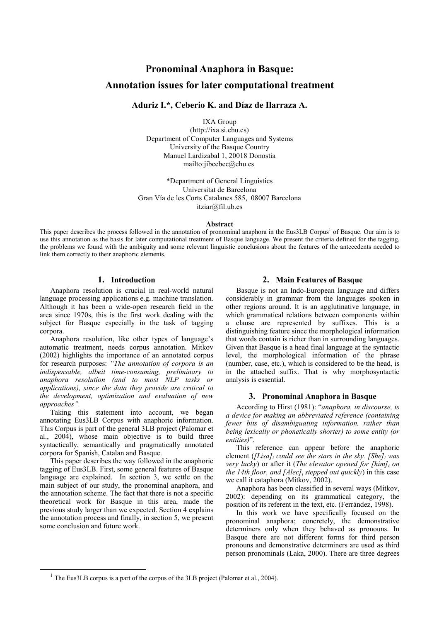# **Pronominal Anaphora in Basque: Annotation issues for later computational treatment**

# Aduriz I.\*, Ceberio K. and Díaz de Ilarraza A.

**IXA Group** 

 $(http://ixa.si.ehu.es)$ Department of Computer Languages and Systems University of the Basque Country Manuel Lardizabal 1, 20018 Donostia mailto:jibcebec@ehu.es

\*Department of General Linguistics Universitat de Barcelona Gran Vía de les Corts Catalanes 585, 08007 Barcelona  $itziar@fil.ub.es$ 

#### Abstract

This paper describes the process followed in the annotation of pronominal anaphora in the Eus3LB Corpus<sup>1</sup> of Basque. Our aim is to use this annotation as the basis for later computational treatment of Basque language. We present the criteria defined for the tagging, the problems we found with the ambiguity and some relevant linguistic conclusions about the features of the antecedents needed to link them correctly to their anaphoric elements.

## 1. Introduction

Anaphora resolution is crucial in real-world natural language processing applications e.g. machine translation. Although it has been a wide-open research field in the area since 1970s, this is the first work dealing with the subject for Basque especially in the task of tagging corpora.

Anaphora resolution, like other types of language's automatic treatment, needs corpus annotation. Mitkov (2002) highlights the importance of an annotated corpus for research purposes: "The annotation of corpora is an indispensable, albeit time-consuming, preliminary to anaphora resolution (and to most NLP tasks or applications), since the data they provide are critical to the development, optimization and evaluation of new approaches".

Taking this statement into account, we began annotating Eus3LB Corpus with anaphoric information. This Corpus is part of the general 3LB project (Palomar et al., 2004), whose main objective is to build three syntactically, semantically and pragmatically annotated corpora for Spanish, Catalan and Basque.

This paper describes the way followed in the anaphoric tagging of Eus3LB. First, some general features of Basque language are explained. In section 3, we settle on the main subject of our study, the pronominal anaphora, and the annotation scheme. The fact that there is not a specific theoretical work for Basque in this area, made the previous study larger than we expected. Section 4 explains the annotation process and finally, in section 5, we present some conclusion and future work.

### 2. Main Features of Basque

Basque is not an Indo-European language and differs considerably in grammar from the languages spoken in other regions around. It is an agglutinative language, in which grammatical relations between components within a clause are represented by suffixes. This is a distinguishing feature since the morphological information that words contain is richer than in surrounding languages. Given that Basque is a head final language at the syntactic level, the morphological information of the phrase (number, case, etc.), which is considered to be the head, is in the attached suffix. That is why morphosyntactic analysis is essential.

### 3. Pronominal Anaphora in Basque

According to Hirst (1981): "anaphora, in discourse, is a device for making an abbreviated reference (containing fewer bits of disambiguating information, rather than being lexically or phonetically shorter) to some entity (or entities)".

This reference can appear before the anaphoric element ([Lisa], could see the stars in the sky. [She], was very lucky) or after it (The elevator opened for  $\left[\text{him}\right]_i$  on the 14th floor, and [Alec]<sub>i</sub> stepped out quickly) in this case we call it cataphora (Mitkov, 2002).

Anaphora has been classified in several ways (Mitkov, 2002): depending on its grammatical category, the position of its referent in the text, etc. (Ferrández, 1998).

In this work we have specifically focused on the pronominal anaphora; concretely, the demonstrative determiners only when they behaved as pronouns. In Basque there are not different forms for third person pronouns and demonstrative determiners are used as third person pronominals (Laka, 2000). There are three degrees

<sup>&</sup>lt;sup>1</sup> The Eus3LB corpus is a part of the corpus of the 3LB project (Palomar et al., 2004).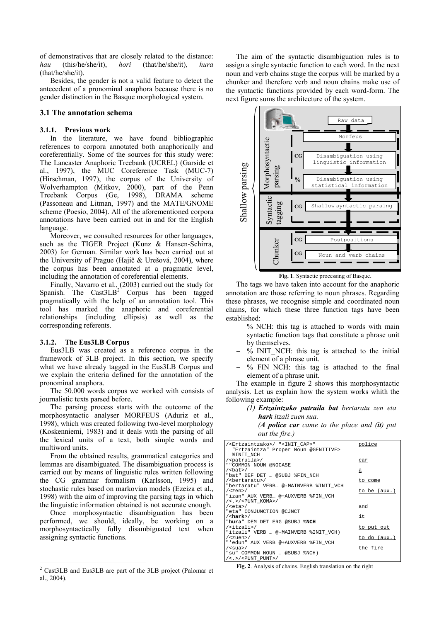of demonstratives that are closely related to the distance:  $(this/he/she/it)$ . hori  $(that/he/she/it)$ , hau hura  $(that/he/she/it)$ .

Besides, the gender is not a valid feature to detect the antecedent of a pronominal anaphora because there is no gender distinction in the Basque morphological system.

#### 3.1 The annotation schema

#### 3.1.1. Previous work

In the literature, we have found bibliographic references to corpora annotated both anaphorically and coreferentially. Some of the sources for this study were: The Lancaster Anaphoric Treebank (UCREL) (Garside et al., 1997), the MUC Coreference Task (MUC-7) (Hirschman, 1997), the corpus of the University of Wolverhampton (Mitkov, 2000), part of the Penn Treebank Corpus (Ge, 1998), DRAMA scheme (Passoneau and Litman, 1997) and the MATE/GNOME scheme (Poesio, 2004). All of the aforementioned corpora annotations have been carried out in and for the English language.

Moreover, we consulted resources for other languages, such as the TIGER Project (Kunz & Hansen-Schirra, 2003) for German. Similar work has been carried out at the University of Prague (Hajič & Urešová, 2004), where the corpus has been annotated at a pragmatic level, including the annotation of coreferential elements.

Finally, Navarro et al., (2003) carried out the study for Spanish. The Cast3LB<sup>2</sup> Corpus has been tagged pragmatically with the help of an annotation tool. This tool has marked the anaphoric and coreferential relationships (including ellipsis) as well as the corresponding referents.

#### 3.1.2. The Eus3LB Corpus

Eus3LB was created as a reference corpus in the framework of 3LB project. In this section, we specify what we have already tagged in the Eus3LB Corpus and we explain the criteria defined for the annotation of the pronominal anaphora.

The 50.000 words corpus we worked with consists of journalistic texts parsed before.

The parsing process starts with the outcome of the morphosyntactic analyser MORFEUS (Aduriz et al., 1998), which was created following two-level morphology (Koskenniemi, 1983) and it deals with the parsing of all the lexical units of a text, both simple words and multiword units.

From the obtained results, grammatical categories and lemmas are disambiguated. The disambiguation process is carried out by means of linguistic rules written following the CG grammar formalism (Karlsson, 1995) and stochastic rules based on markovian models (Ezeiza et al., 1998) with the aim of improving the parsing tags in which the linguistic information obtained is not accurate enough.

Once morphosyntactic disambiguation has been performed, we should, ideally, be working on a morphosyntactically fully disambiguated text when assigning syntactic functions.

The aim of the syntactic disambiguation rules is to assign a single syntactic function to each word. In the next noun and verb chains stage the corpus will be marked by a chunker and therefore verb and noun chains make use of the syntactic functions provided by each word-form. The next figure sums the architecture of the system.



Fig. 1. Syntactic processing of Basque.

The tags we have taken into account for the anaphoric annotation are those referring to noun phrases. Regarding these phrases, we recognise simple and coordinated noun chains, for which these three function tags have been established<sup>.</sup>

- % NCH: this tag is attached to words with main syntactic function tags that constitute a phrase unit by themselves.
- $-$  % INIT NCH: this tag is attached to the initial element of a phrase unit.
- % FIN NCH: this tag is attached to the final element of a phrase unit.

The example in figure 2 shows this morphosyntactic analysis. Let us explain how the system works whith the following example:

> (1) Ertzaintzako patruila bat bertaratu zen eta hark itzali zuen sua.

(A police car came to the place and  $(it)$  put out the fire.)

| / <ertzaintzako>/ "<init cap="">"<br/>police<br/>"Ertzaintza" Proper Noun @GENITIVE&gt;<br/><b>%INIT NCH</b><br/>/<patruila>/<br/>car<br/>" "COMMON NOUN @NOCASE<br/><math>/\text{ebat}</math><br/>а<br/>"bat" DEF DET  @SUBJ %FIN NCH<br/>/<bertaratu>/<br/>to come<br/>"bertaratu" VERB @-MAINVERB %INIT VCH<br/>to be <math>(aux.)</math><br/><math>\sqrt{</math> <zen> <math>\sqrt{ }</math><br/>"izan" AUX VERB @+AUXVERB %FIN VCH<br/><math>/&lt;</math>, &gt; <math>/&lt;</math>PUNT KOMA&gt;/<br/><math>/</math> <eta><math>/</math><br/>and<br/>"eta" CONJUNCTION @CJNCT<br/><math>/</math> <hark><math>/</math><br/>it<br/>"hura" DEM DET ERG @SUBJ %NCH<br/><math>\overline{\Xi}</math><br/>to put out<br/>"itzali" VERB  @-MAINVERB %INIT VCH)<br/>to do (aux.)<br/><math>\sqrt{</math>uen&gt;<math>\sqrt{}</math><br/>"*edun" AUX VERB @+AUXVERB %FIN VCH<br/>the fire<br/><math>\sqrt{\text{sua}}</math></hark></eta></zen></bertaratu></patruila></init></ertzaintzako> |                                    |  |
|----------------------------------------------------------------------------------------------------------------------------------------------------------------------------------------------------------------------------------------------------------------------------------------------------------------------------------------------------------------------------------------------------------------------------------------------------------------------------------------------------------------------------------------------------------------------------------------------------------------------------------------------------------------------------------------------------------------------------------------------------------------------------------------------------------------------------------------------------------------------------------------------------------------------------------------------------------------------------------------|------------------------------------|--|
|                                                                                                                                                                                                                                                                                                                                                                                                                                                                                                                                                                                                                                                                                                                                                                                                                                                                                                                                                                                        |                                    |  |
|                                                                                                                                                                                                                                                                                                                                                                                                                                                                                                                                                                                                                                                                                                                                                                                                                                                                                                                                                                                        |                                    |  |
|                                                                                                                                                                                                                                                                                                                                                                                                                                                                                                                                                                                                                                                                                                                                                                                                                                                                                                                                                                                        |                                    |  |
|                                                                                                                                                                                                                                                                                                                                                                                                                                                                                                                                                                                                                                                                                                                                                                                                                                                                                                                                                                                        |                                    |  |
|                                                                                                                                                                                                                                                                                                                                                                                                                                                                                                                                                                                                                                                                                                                                                                                                                                                                                                                                                                                        |                                    |  |
|                                                                                                                                                                                                                                                                                                                                                                                                                                                                                                                                                                                                                                                                                                                                                                                                                                                                                                                                                                                        |                                    |  |
|                                                                                                                                                                                                                                                                                                                                                                                                                                                                                                                                                                                                                                                                                                                                                                                                                                                                                                                                                                                        |                                    |  |
|                                                                                                                                                                                                                                                                                                                                                                                                                                                                                                                                                                                                                                                                                                                                                                                                                                                                                                                                                                                        |                                    |  |
|                                                                                                                                                                                                                                                                                                                                                                                                                                                                                                                                                                                                                                                                                                                                                                                                                                                                                                                                                                                        |                                    |  |
|                                                                                                                                                                                                                                                                                                                                                                                                                                                                                                                                                                                                                                                                                                                                                                                                                                                                                                                                                                                        |                                    |  |
|                                                                                                                                                                                                                                                                                                                                                                                                                                                                                                                                                                                                                                                                                                                                                                                                                                                                                                                                                                                        |                                    |  |
|                                                                                                                                                                                                                                                                                                                                                                                                                                                                                                                                                                                                                                                                                                                                                                                                                                                                                                                                                                                        |                                    |  |
| "su" COMMON NOUN  @SUBJ %NCH)                                                                                                                                                                                                                                                                                                                                                                                                                                                                                                                                                                                                                                                                                                                                                                                                                                                                                                                                                          | $\epsilon > \epsilon$ DINT DINTs / |  |
|                                                                                                                                                                                                                                                                                                                                                                                                                                                                                                                                                                                                                                                                                                                                                                                                                                                                                                                                                                                        |                                    |  |

Fig. 2. Analysis of chains. English translation on the right

<sup>&</sup>lt;sup>2</sup> Cast3LB and Eus3LB are part of the 3LB project (Palomar et al., 2004).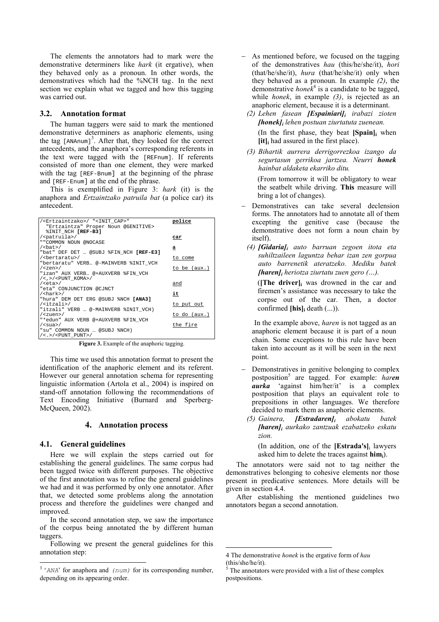The elements the annotators had to mark were the demonstrative determiners like *hark* (it ergative), when they behaved only as a pronoun. In other words, the demonstratives which had the %NCH tag. In the next section we explain what we tagged and how this tagging was carried out.

#### 3.2. Annotation format

The human taggers were said to mark the mentioned demonstrative determiners as anaphoric elements, using the tag [ANAnum]<sup>3</sup>. After that, they looked for the correct antecedents, and the anaphora's corresponding referents in the text were tagged with the [REFnum]. If referents consisted of more than one element, they were marked with the tag [REF-Bnum] at the beginning of the phrase and [REF-Enum] at the end of the phrase.

This is exemplified in Figure 3:  $hark$  (it) is the anaphora and Ertzaintzako patruila bat (a police car) its antecedent.

| / <ertzaintzako>/ "<init cap="">"</init></ertzaintzako> | police         |
|---------------------------------------------------------|----------------|
| "Ertzaintza" Proper Noun @GENITIVE>                     |                |
| <b><i>&amp;INIT NCH [REF-B3]</i></b>                    |                |
| / <patruila>/</patruila>                                | car            |
| " "COMMON NOUN @NOCASE                                  |                |
| $/s$ bat> $/$                                           | а              |
| "bat" DEF DET  @SUBJ %FIN NCH [REF-E3]                  |                |
| / <bertaratu>/</bertaratu>                              | to come        |
| "bertaratu" VERB @-MAINVERB %INIT VCH                   |                |
| $\sqrt{$ < zen > $\sqrt{}$                              | to be $(aux.)$ |
| "izan" AUX VERB @+AUXVERB %FIN VCH                      |                |
| $/<$ , > $/<$ PUNT KOMA>/                               |                |
| $/$ <eta><math>/</math></eta>                           | and            |
| "eta" CONJUNCTION @CJNCT                                |                |
| $/\text{chark}>$ /                                      | it             |
| "hura" DEM DET ERG @SUBJ %NCH [ANA3]                    |                |
| $\overline{\Xi}$                                        | to put out     |
| "itzali" VERB  @-MAINVERB %INIT VCH)                    |                |
| $\sqrt{$ zuen> $\sqrt{}$                                | to do (aux.)   |
| "*edun" AUX VERB @+AUXVERB %FIN VCH                     |                |
| $\sqrt{\text{sua}}$                                     | the fire       |
| "su" COMMON NOUN  @SUBJ %NCH)                           |                |
| $/<$ .>/ <punt punt="">/</punt>                         |                |

Figure 3. Example of the anaphoric tagging.

This time we used this annotation format to present the identification of the anaphoric element and its referent. However our general annotation schema for representing linguistic information (Artola et al., 2004) is inspired on stand-off annotation following the recommendations of Text Encoding Initiative (Burnard and Sperberg-McQueen, 2002).

### 4. Annotation process

# 4.1. General guidelines

Here we will explain the steps carried out for establishing the general guidelines. The same corpus had been tagged twice with different purposes. The objective of the first annotation was to refine the general guidelines we had and it was performed by only one annotator. After that, we detected some problems along the annotation process and therefore the guidelines were changed and improved.

In the second annotation step, we saw the importance of the corpus being annotated the by different human taggers.

Following we present the general guidelines for this annotation step:

- $-$  As mentioned before, we focused on the tagging of the demonstratives hay (this/he/she/it) hori (that/he/she/it), hura (that/he/she/it) only when they behaved as a pronoun. In example  $(2)$ , the demonstrative *hone* $k^4$  is a candidate to be tagged. while *honek*, in example  $(3)$ , is rejected as an anaphoric element, because it is a determinant.
	- $(2)$  Lehen fasean *[Espainiari]*; *irabazi zioten*  $[honek]$ ; lehen postuan ziurtatuta zuenean.

(In the first phase, they beat [Spain], when  $[it]_i$  had assured in the first place).

(3) Bihartik aurrera derrigorrezkoa izango da segurtasun gerrikoa jartzea. Neurri honek hainbat aldaketa ekarriko ditu

(From tomorrow it will be obligatory to wear) the seatbelt while driving. This measure will bring a lot of changes).

- Demonstratives can take several declension forms. The annotators had to annotate all of them excepting the genitive case (because the demonstrative does not form a noun chain by itself).
	- (4)  $[Gidaria]_i$  auto barruan zegoen itota eta suhiltzaileen laguntza behar izan zen gorpua auto barrenetik ateratzeko. Mediku batek **[haren]**; heriotza ziurtatu zuen gero  $(...)$ .

(The driver), was drowned in the car and firemen's assistance was necessary to take the corpse out of the car. Then, a doctor confirmed  $[his]_i$  death  $(...)$ .

In the example above, *haren* is not tagged as an anaphoric element because it is part of a noun chain. Some exceptions to this rule have been taken into account as it will be seen in the next noint

- Demonstratives in genitive belonging to complex postposition<sup>5</sup> are tagged. For example: haren *aurka* 'against him/her/it' is a complex postposition that plays an equivalent role to prepositions in other languages. We therefore decided to mark them as anaphoric elements.
- (5) Gainera,  $|Estradaren|$ abokatu **batek** [haren]; aurkako zantzuak ezabatzeko eskatu zion.

(In addition, one of the [Estrada's] $_i$  lawyers asked him to delete the traces against  $\lim_{i}$ .

The annotators were said not to tag neither the demonstratives belonging to cohesive elements nor those present in predicative sentences. More details will be given in section 4.4.

After establishing the mentioned guidelines two annotators began a second annotation.

 $3$  'ANA' for anaphora and (num) for its corresponding number, depending on its appearing order.

<sup>4</sup> The demonstrative *honek* is the ergative form of *hau*  $(this/she/he/it)$ 

The annotators were provided with a list of these complex postpositions.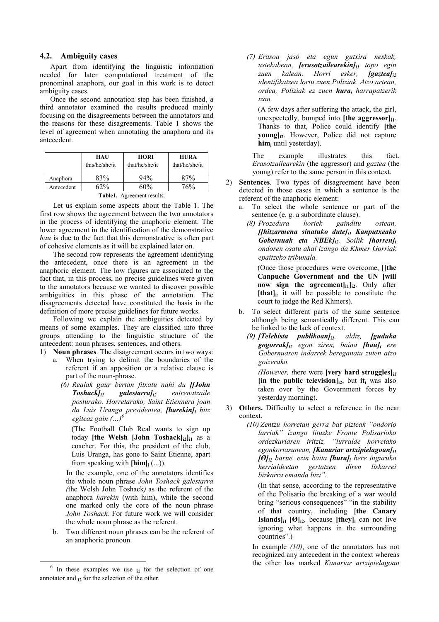# 4.2. Ambiguity cases

Apart from identifying the linguistic information needed for later computational treatment of the pronominal anaphora, our goal in this work is to detect ambiguity cases.

Once the second annotation step has been finished, a third annotator examined the results produced mainly focusing on the disagreements between the annotators and the reasons for these disagreements. Table 1 shows the level of agreement when annotating the anaphora and its antecedent.

|            | HAU<br>this/he/she/it | <b>HORI</b><br>that/he/she/it | <b>HURA</b><br>that/he/she/it |
|------------|-----------------------|-------------------------------|-------------------------------|
| Anaphora   | 83%                   | 94%                           | 87%                           |
| Antecedent | $52\%$                | ናበ%                           | 76%                           |

Table1. Agreement results.

Let us explain some aspects about the Table 1. The first row shows the agreement between the two annotators in the process of identifying the anaphoric element. The lower agreement in the identification of the demonstrative hau is due to the fact that this demonstrative is often part of cohesive elements as it will be explained later on.

The second row represents the agreement identifying the antecedent, once there is an agreement in the anaphoric element. The low figures are associated to the fact that, in this process, no precise guidelines were given to the annotators because we wanted to discover possible ambiguities in this phase of the annotation. The disagreements detected have constituted the basis in the definition of more precise guidelines for future works.

Following we explain the ambiguities detected by means of some examples. They are classified into three groups attending to the linguistic structure of the antecedent: noun phrases, sentences, and others.

- 1) Noun phrases. The disagreement occurs in two ways: a. When trying to delimit the boundaries of the referent if an apposition or a relative clause is part of the noun-phrase.
	- (6) Realak gaur bertan fitxatu nahi du [[John  $To shock$ <sub>ii</sub> galestarra $l_{i2}$ entrenatzaile posturako. Horretarako, Saint Etiennera joan da Luis Uranga presidentea, [harekin]i hitz egiteaz gain  $(\cdot\cdot\cdot)^6$

(The Football Club Real wants to sign up today [the Welsh [John Toshack]<sub>i2</sub>]<sub>i1</sub> as a coacher. For this, the president of the club, Luis Uranga, has gone to Saint Etienne, apart from speaking with  $[\text{him}]_i$  (...)).

In the example, one of the annotators identifies the whole noun phrase John Toshack galestarra (the Welsh John Toshack) as the referent of the anaphora *harekin* (with him), while the second one marked only the core of the noun phrase John Toshack. For future work we will consider the whole noun phrase as the referent.

b. Two different noun phrases can be the referent of an anaphoric pronoun.

(7) Erasoa jaso eta egun gutxira neskak, ustekabean, **[erasotzailearekin]**<sub>il</sub> topo egin zuen kalean. Horri esker,  $[gaztea]_{i2}$ identifikatzea lortu zuen Poliziak. Atzo artean, ordea, Poliziak ez zuen hura; harrapatzerik izan

(A few days after suffering the attack, the girl, unexpectedly, bumped into  $[the \text{ degrees} \text{or} \,]_{i1}$ . Thanks to that, Police could identify [the **voung**, However, Police did not capture him, until vesterday).

illustrates The example this fact. *Erasotzailearekin* (the aggressor) and *gaztea* (the young) refer to the same person in this context.

- Sentences. Two types of disagreement have been  $(2)$ detected in those cases in which a sentence is the referent of the anaphoric element:
	- To select the whole sentence or part of the sentence (e. g. a subordinate clause).

gainditu (8) Prozedura horiek ostean.  $\iint\left| \int f(x) \right|$  hingular sinatuko dutel $\iint\left| \int f(x) \right|$  hanputxeako Gobernuak eta NBEkl<sub>i2</sub>. Soilik [horren]<sub>i</sub> ondoren osatu ahal izango da Khmer Gorriak epaitzeko tribunala.

(Once those procedures were overcome, [[the Canpuche Government and the UN [will now sign the agreement $\left| \cdot \right|$  after  $\left| \cdot \right|$  after [that], it will be possible to constitute the court to judge the Red Khmers).

- b. To select different parts of the same sentence although being semantically different. This can be linked to the lack of context.
	- (9) [Telebista publikoan] $_{il}$ , aldiz, [guduka  $gogorrak<sub>liz</sub> egon ziren, baina [hau<sub>liz</sub> ere]$ Gobernuaren indarrek bereganatu zuten atzo goizerako.

*(However, there were [very hard struggles]* $_{11}$ [in the public television] $_{i2}$ , but it<sub>i</sub> was also taken over by the Government forces by yesterday morning).

3) Others. Difficulty to select a reference in the near context.

> (10) Zentzu horretan gerra bat pizteak "ondorio larriak" izango lituzke Fronte Polisarioko ordezkariaren iritziz, "lurralde horretako egonkortasunean. **IKanariar artxipielagoanl**  $[0]_i$  barne, ezin baita *[hura]*, bere inguruko herrialdeetan gertatzen diren liskarrei hizkarra emanda hizi"

(In that sense, according to the representative) of the Polisario the breaking of a war would bring "serious consequences" "in the stability of that country, including [the Canary **Islands**<sub>li1</sub> [ $\Theta$ ]<sub>i2</sub>, because [they]<sub>i</sub> can not live ignoring what happens in the surrounding countries".)

In example  $(10)$ , one of the annotators has not recognized any antecedent in the context whereas the other has marked Kanariar artxipielagoan

 $6$  In these examples we use  $_{11}$  for the selection of one annotator and  $_{12}$  for the selection of the other.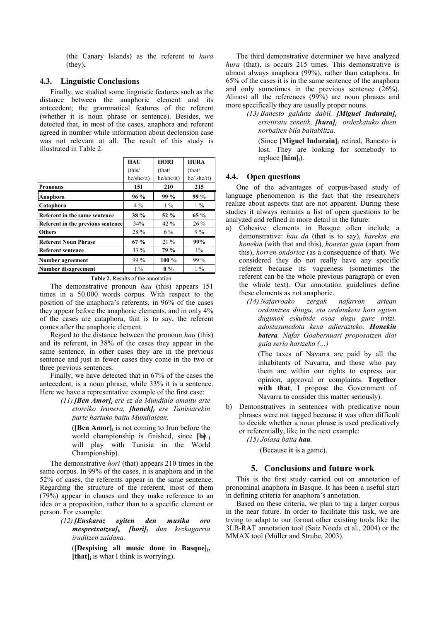(the Canary Islands) as the referent to *hura* (they).

# 4.3. Linguistic Conclusions

Finally, we studied some linguistic features such as the distance between the anaphoric element and its antecedent; the grammatical features of the referent (whether it is noun phrase or sentence). Besides, we detected that, in most of the cases, anaphora and referent agreed in number while information about declension case was not relevant at all. The result of this study is illustrated in Table 2.

|                                   | <b>HAU</b>  | <b>HORI</b> | <b>HURA</b> |
|-----------------------------------|-------------|-------------|-------------|
|                                   | (this/      | (that/      | (that/      |
|                                   | he/she/it)  | he/she/it)  | he/ she/it) |
| <b>Pronouns</b>                   | 151         | 210         | 215         |
| Anaphora                          | 96%         | 99 %        | 99 %        |
| Cataphora                         | $4\%$       | $1\%$       | $1\%$       |
| Referent in the same sentence     | <b>38 %</b> | 52 %        | 65 %        |
| Referent in the previous sentence | 34%         | 42 %        | 26 %        |
| <b>Others</b>                     | 28 %        | $6\%$       | $9\%$       |
| <b>Referent Noun Phrase</b>       | 67%         | $21\%$      | 99%         |
| <b>Referent sentence</b>          | 33 %        | 79 %        | $1\%$       |
| Number agreement                  | 99 %        | $100\%$     | 99 %        |
| Number disagreement               | $1\%$       | $0\%$       | $1\%$       |

Table 2. Results of the annotation.

The demonstrative pronoun *hau* (this) appears 151 times in a 50,000 words corpus. With respect to the position of the anaphora's referents, in 96% of the cases they appear before the anaphoric elements, and in only 4% of the cases are cataphora, that is to say, the referent comes after the anaphoric element.

Regard to the distance between the pronoun hau (this) and its referent, in 38% of the cases they appear in the same sentence, in other cases they are in the previous sentence and just in fewer cases they come in the two or three previous sentences.

Finally, we have detected that in 67% of the cases the antecedent, is a noun phrase, while 33% it is a sentence. Here we have a representative example of the first case:

> $(11)$  [Ben Amor], ere ez da Mundiala amaitu arte etorriko Irunera, [honek], ere Tunisiarekin parte hartuko baitu Mundialean.

([Ben Amor] $_i$  is not coming to Irun before the world championship is finished, since  $[h]$  i will play with Tunisia in the World Championship).

The demonstrative *hori* (that) appears 210 times in the same corpus. In 99% of the cases, it is anaphora and in the 52% of cases, the referents appear in the same sentence. Regarding the structure of the referent, most of them (79%) appear in clauses and they make reference to an idea or a proposition, rather than to a specific element or person. For example:

#### egiten den musika oro  $(12)$  [Euskaraz]  $m$ espretxatzea]<sub>i</sub>, [hori]<sub>i</sub> dun kezkagarria iruditzen zaidana.

(Despising all music done in Basquel<sub>i</sub>,  $[that]_i$  is what I think is worrying).

The third demonstrative determiner we have analyzed hura (that), is occurs 215 times. This demonstrative is almost always anaphora (99%), rather than cataphora. In 65% of the cases it is in the same sentence of the anaphora and only sometimes in the previous sentence  $(26\%)$ . Almost all the references (99%) are noun phrases and more specifically they are usually proper nouns.

 $(13)$  Banesto galduta dabil, [Miguel Indurain]; erretiratu zenetik, *[hura]*; ordezkatuko duen norbaiten bila baitabiltza.

(Since [Miguel Indurain]; retired, Banesto is lost. They are looking for somebody to replace  $[\text{him}]_i$ ).

### 4.4. Open questions

One of the advantages of corpus-based study of language phenomenon is the fact that the researchers realize about aspects that are not apparent. During these studies it always remains a list of open questions to be analyzed and refined in more detail in the future:

- a) Cohesive elements in Basque often include a demonstrative: hau da (that is to say), harekin eta *honekin* (with that and this), *honetaz gain* (apart from this), *horren ondorioz* (as a consequence of that). We considered they do not really have any specific referent because its vagueness (sometimes the referent can be the whole previous paragraph or even the whole text). Our annotation guidelines define these elements as not anaphoric.
	- (14) Nafarroako zergak nafarron artean ordaintzen ditugu, eta ordainketa hori egiten dugunok eskubide osoa dugu gure iritzi, adostasunedota kexa adierazteko. Honekin batera, Nafar Goabernuari proposatzen diot gaia serio hartzeko (...)

(The taxes of Navarra are paid by all the inhabitants of Navarra, and those who pay them are within our rights to express our opinion, approval or complaints. Together with that, I propose the Government of Navarra to consider this matter seriously)

- b) Demonstratives in sentences with predicative noun phrases were not tagged because it was often difficult to decide whether a noun phrase is used predicatively or referentially, like in the next example:
	- $(15)$  Jolasa baita hau.

(Because it is a game).

# 5. Conclusions and future work

This is the first study carried out on annotation of pronominal anaphora in Basque. It has been a useful start in defining criteria for anaphora's annotation.

Based on these criteria, we plan to tag a larger corpus in the near future. In order to facilitate this task, we are trying to adapt to our format other existing tools like the 3LB-RAT annotation tool (Saiz Noeda et al., 2004) or the MMAX tool (Müller and Strube, 2003).